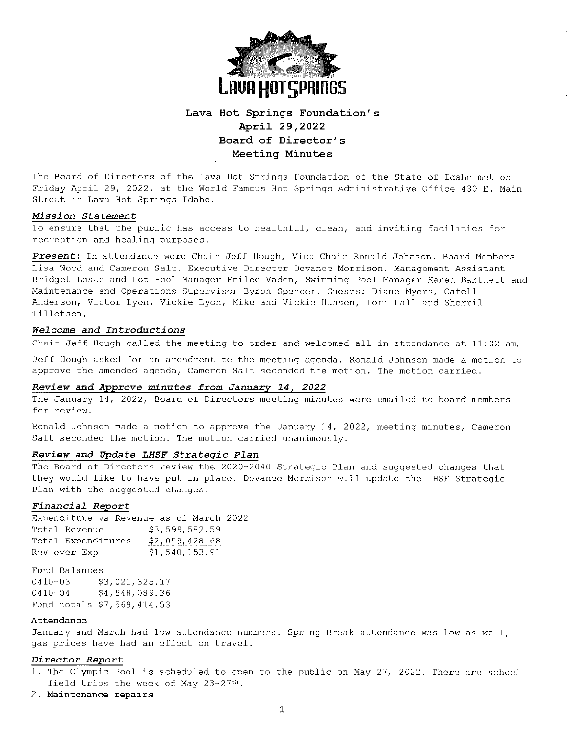

# **Lava Hot Springs Foundation's April 29,2022 Board of Director's Meeting Minutes**

The Board of Directors of the Lava Hot Springs Foundation of the State of Idaho met on Friday April 29, 2022, at the World Famous Hot Springs Administrative Office 430 E. Main Street in Lava Hot Springs Idaho.

## *Mission Statement*

To ensure that the public has access to healthful, clean, and inviting facilities for recreation and healing purposes.

*Present:* In attendance were Chair Jeff Hough, Vice Chair Ronald Johnson. Board Members Lisa Wood and Cameron Salt, Executive Director Devanee Morrison, Management Assistant Bridget Losee and Hot Pool Manager Emilee Vaden, Swimming Pool Manager Karen Bartlett and Maintenance and Operations Supervisor Byron Spencer. Guests: Diane Myers, Catell Anderson, Victor Lyon, Vickie Lyon, Mike and Vickie Hansen, Tori Hall and Sherril Tillotson.

#### *Welcome and Introductions*

Chair Jeff Hough called the meeting to order and welcomed all in attendance at 11:02 am.

Jeff Hough asked for an amendment to the meeting agenda. Ronald Johnson made a motion to approve the amended agenda, Cameron Salt seconded the motion. The motion carried,

## *Review and Approve minutes* **from** *January 14, 2022*

The January 14, 2022, Board of Directors meeting minutes were emailed to board members for review.

Ronald Johnson made a motion to approve the January 14, 2022, meeting minutes, Cameron Salt seconded the motion. The motion carried unanimously.

## *Review and Update LHSF Strategic Plan*

The Board of Directors review the 2020-2040 Strategic Plan and suggested changes that they would like to have put in place. Devanee Morrison will update the LHSF Strategic Plan with the suggested changes.

## *Financial* **Report**

Expenditure vs Revenue as of March 2022 Total Revenue \$3,599,582.59 Total Expenditures \$2,059,428.68 Rev over Exp \$1,540,153.91

Fund Balances 0410-03 \$3,021,325.17 0410-04 \$4,548,089.36 Fund totals \$7,569,414.53

## **Attendance**

January and March had low attendance numbers. Spring Break attendance was low as well, gas prices have had an effect on travel.

## **Director Report**

- 1. The Olympic Pool is scheduled to open to the public on May 27, 2022. There are school field trips the week of May  $23-27$ <sup>th</sup>.
- 2, **Maintenance repairs**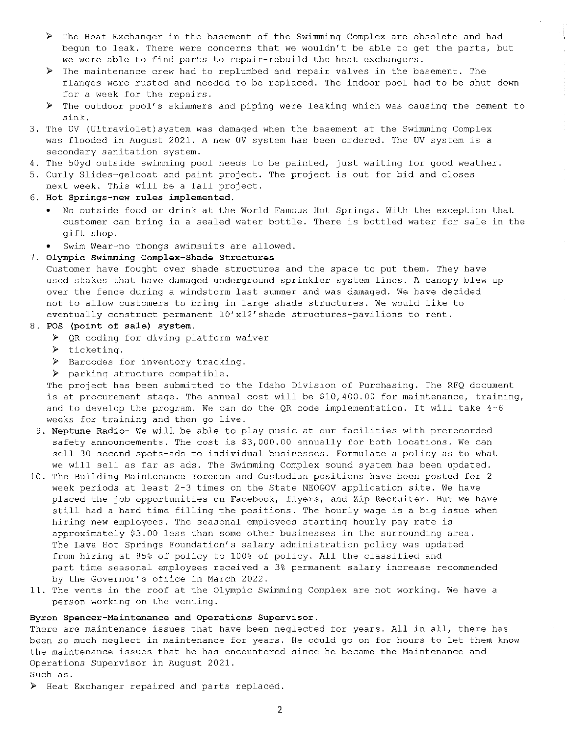- ► The Heat Exchanger in the basement of the Swimming Complex are obsolete and had begun to leak, There were concerns that we wouldn't be able to get the parts, but we were able to find parts to repair-rebuild the heat exchangers.
- ► The maintenance crew had to replumbed and repair valves in the basement. The flanges were rusted and needed to be replaced. The indoor pool had to be shut down for a week for the repairs.
- ► The outdoor pool's skimmers and piping were leaking which was causing the cement to sink.
- 3. The UV (Ultraviolet) system was damaged when the basement at the Swimming Complex was flooded in August 2021. A new UV system has been ordered. The UV system is a secondary sanitation system.
- 4. The 50yd outside swimming pool needs to be painted, just waiting for good weather.
- 5. Curly Slides-gelcoat and paint project. The project is out for bid and closes
- next week. This will be a fall project.

## 6. **Hot Springs-new rules implemented.**

- No outside food or drink at the World Famous Hot Springs. With the exception that customer can bring in a sealed water bottle. There is bottled water for sale in the gift shop.
- Swim Wear-no thongs swimsuits are allowed.

#### 7. **Olympic Swimming Complex-Shade Structures**

Customer have fought over shade structures and the space to put them. They have used stakes that have damaged underground sprinkler system lines. A canopy blew up over the fence during a windstorm last summer and was damaged. We have decided not to allow customers to bring in large shade structures. We would like to eventually construct permanent 10'x12'shade structures-pavilions to rent.

## 8, POS (point of sale) system.

- ► QR coding for diving platform waiver
- ► ticketing.
- ► Barcodes for inventory tracking,
- ► parking structure compatible.

The project has been submitted to the Idaho Division of Purchasing, The RFQ document is at procurement stage. The annual cost will be  $$10,400.00$  for maintenance, training, and to develop the program. We can do the QR code implementation. It will take 4-6 weeks for training and then go live.

- 9. **Neptune Radio-** We will be able to play music at our facilities with prerecorded safety announcements. The cost is \$3,000.00 annually for both locations. We can sell 30 second spots-ads to individual businesses. Formulate a policy as to what we will sell as far as ads. The Swimming Complex sound system has been updated.
- 10. The Building Maintenance Foreman and Custodian positions have been posted for 2 week periods at least 2-3 times on the State NEOGOV application site. We have placed the job opportunities on Facebook, flyers, and Zip Recruiter. But we have still had a hard time filling the positions. The hourly wage is a big issue when hiring new employees. The seasonal employees starting hourly pay rate is approximately \$3,00 less than some other businesses in the surrounding area. The Lava Hot Springs Foundation's salary administration policy was updated from hiring at 85% of policy to 100% of policy. All the classified and part time seasonal employees received a 3% permanent salary increase recommended by the Governor's office in March 2022,
- 11. The vents in the roof at the Olympic Swimming Complex are not working. We have a person working on the venting.

### **Byron Spencer-Maintenance and Operations Supervisor.**

There are maintenance issues that have been neglected for years. All in all, there has been so much neglect in maintenance for years. He could go on for hours to let them know the maintenance issues that he has encountered since he became the Maintenance and Operations Supervisor in August 2021.

## Such as.

► Heat Exchanger repaired and parts replaced.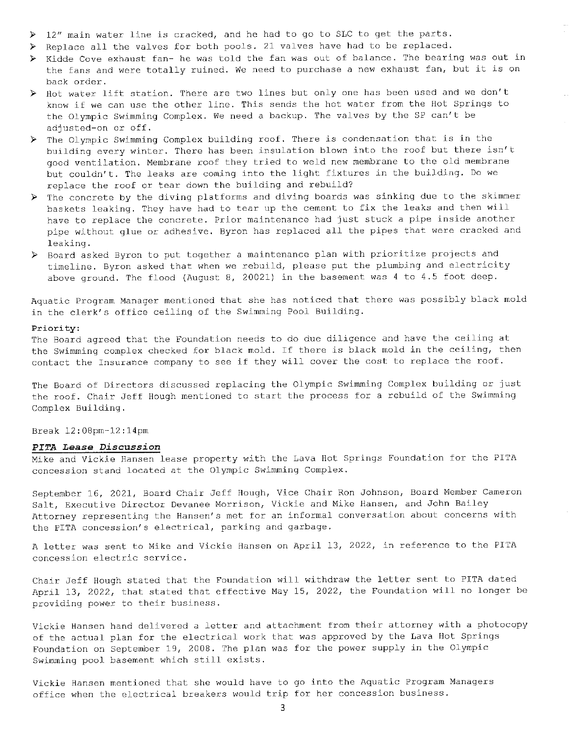- ► 12" main water line is cracked, and he had to go to SLC to get the parts.
- ► Replace all the valves for both pools. 21 valves have had to be replaced.
- ► Kidde Cove exhaust fan- he was told the fan was out of balance. The bearing was out in the fans and were totally ruined. We need to purchase a new exhaust fan, but it is on back order.
- ► Hot water lift station. There are two lines but only one has been used and we don't know if we can use the other line. This sends the hot water from the Hot Springs to the Olympic Swimming Complex. We need a backup. The valves by the SP can't be adjusted-on or off.
- ► The Olympic Swimming Complex building roof. There is condensation that is in the building every winter. There has been insulation blown into the roof but there isn't good ventilation. Membrane roof they tried to weld new membrane to the old membrane but couldn't. The leaks are coming into the light fixtures in the building. Do we replace the roof or tear down the building and rebuild?
- ► The concrete by the diving platforms and diving boards was sinking due to the skimmer baskets leaking. They have had to tear up the cement to fix the leaks and then will have to replace the concrete. Prior maintenance had just stuck a pipe inside another pipe without glue or adhesive. Byron has replaced all the pipes that were cracked and leaking.
- ► Board asked Byron to put together a maintenance plan with prioritize projects and timeline. Byron asked that when we rebuild, please put the plumbing and electricity above ground. The flood (August 8, 20021) in the basement was 4 to 4.5 foot deep.

Aquatic Program Manager mentioned that she has noticed that there was possibly black mold in the clerk's office ceiling of the Swimming Pool Building.

#### **Priority:**

The Board agreed that the Foundation needs to do due diligence and have the ceiling at the Swimming complex checked for black mold. If there is black mold in the ceiling, then contact the Insurance company to see if they will cover the cost to replace the roof.

The Board of Directors discussed replacing the Olympic Swimming Complex building or just the roof. Chair Jeff Hough mentioned to start the process for a rebuild of the Swimming Complex Building.

Break 12:08pm-12:14pm

### *PITA Lease Discussion*

Mike and Vickie Hansen lease property with the Lava Hot Springs Foundation for the PITA concession stand located at the Olympic Swimming Complex.

September 16, 2021, Board Chair Jeff Hough, Vice Chair Ron Johnson, Board Member Cameron Salt, Executive Director Devanee Morrison, Vickie and Mike Hansen, and John Bailey Attorney representing the Hansen's met for an informal conversation about concerns with the PITA concession's electrical, parking and garbage.

A letter was sent to Mike and Vickie Hansen on April 13, 2022, in reference to the PITA concession electric service.

Chair Jeff Hough stated that the Foundation will withdraw the letter sent to PITA dated April 13, 2022, that stated that effective May 15, 2022, the Foundation will no longer be providing power to their business.

Vickie Hansen hand delivered a letter and attachment from their attorney with a photocopy of the actual plan for the electrical work that was approved by the Lava Hot Springs Foundation on September 19, 2008. The plan was for the power supply in the Olympic Swimming pool basement which still exists.

Vickie Hansen mentioned that she would have to go into the Aquatic Program Managers office when the electrical breakers would trip for her concession business.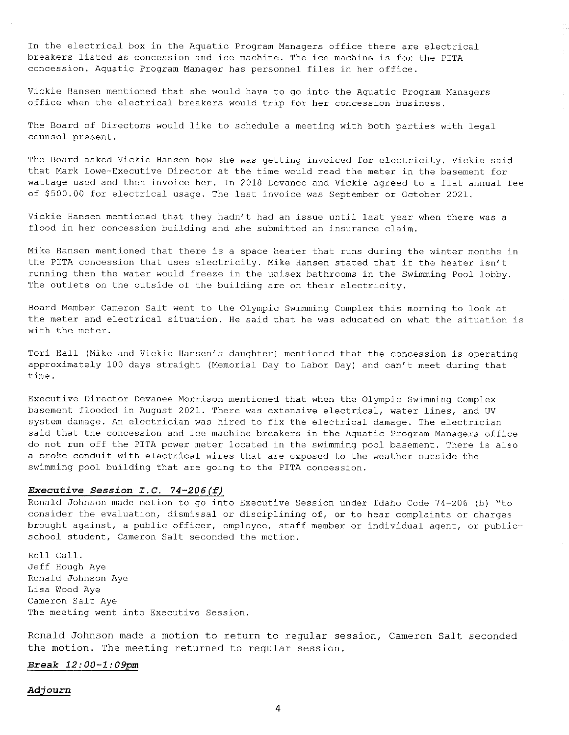In the electrical box in the Aquatic Program Managers office there are electrical breakers listed as concession and ice machine. The ice machine is for the PITA concession. Aquatic Program Manager has personnel files in her office.

Vickie Hansen mentioned that she would have to go into the Aquatic Program Managers office when the electrical breakers would trip for her concession business.

The Board of Directors would like to schedule a meeting with both parties with legal counsel present.

The Board asked Vickie Hansen how she was getting invoiced for electricity. Vickie said that Mark Lowe-Executive Director at the time would read the meter in the basement for wattage used and then invoice her. In 2018 Devanee and Vickie agreed to a flat annual fee of \$500.00 for electrical usage. The last invoice was September or October 2021.

Vickie Hansen mentioned that they hadn't had an issue until last year when there was a flood in her concession building and she submitted an insurance claim.

Mike Hansen mentioned that there is a space heater that runs during the winter months in the PITA concession that uses electricity. Mike Hansen stated that if the heater isn't running then the water would freeze in the unisex bathrooms in the Swimming Pool lobby. The outlets on the outside of the building are on their electricity.

Board Member Cameron Salt went to the Olympic Swimming Complex this morning to look at the meter and electrical situation. He said that he was educated on what the situation is with the meter.

Tori Hall (Mike and Vickie Hansen's daughter) mentioned that the concession is operating approximately 100 days straight (Memorial Day to Labor Day) and can't meet during that time.

Executive Director Devanee Morrison mentioned that when the Olympic Swimming Complex basement flooded in August 2021. There was extensive electrical, water lines, and UV system damage. An electrician was hired to fix the electrical damage. The electrician said that the concession and ice machine breakers in the Aquatic Program Managers office do not run off the PITA power meter located in the swimming pool basement. There is also a broke conduit with electrical wires that are exposed to the weather outside the swimming pool building that are going to the PITA concession.

## *Executive Session I.C. 74-206(f)*

Ronald Johnson made motion to go into Executive Session under Idaho Code 74-206 (b) "to consider the evaluation, dismissal or disciplining of, or to hear complaints or charges brought against, a public officer, employee, staff member or individual agent, or publicschool student, Cameron Salt seconded the motion.

Roll Call. Jeff Hough Aye Ronald Johnson Aye Lisa Wood Aye Cameron Salt Aye The meeting went into Executive Session.

Ronald Johnson made a motion to return to regular session, Cameron Salt seconded the motion. The meeting returned to regular session.

## *Break 12:00-1:09pm*

## **Adjourn**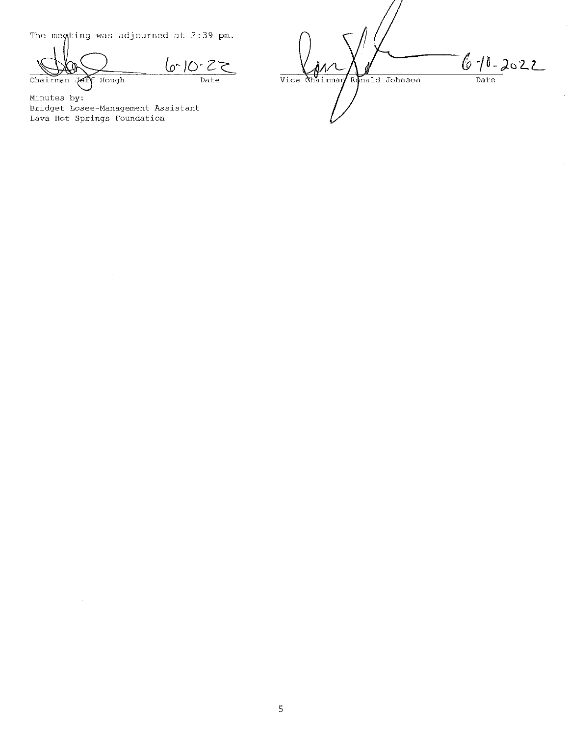The megting was adjourned at 2:39 pm.

 $Chairman$ ∤eÑ Hough

 $\bar{z}$ 

 $6^{6}$  O'  $2^{6}$ 

Minutes by: Bridget Losee-Management Assistant Lava Hot Springs Foundation

 $\frac{6}{6} - 2022$  $Vice$  Chairman Renald Johnson

 $\hat{\mathcal{A}}$